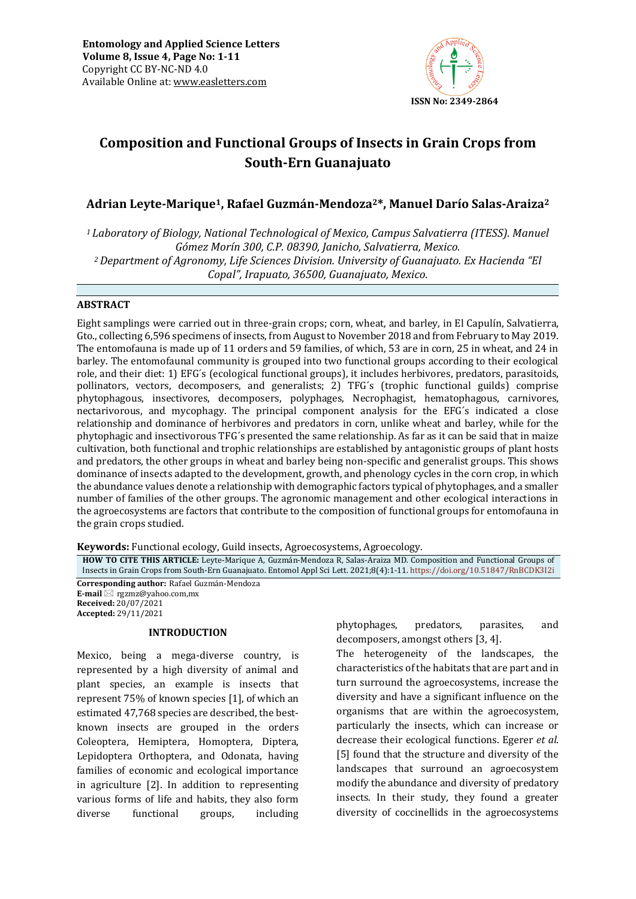

# **Composition and Functional Groups of Insects in Grain Crops from South-Ern Guanajuato**

# **Adrian Leyte-Marique1, Rafael Guzmán-Mendoza2\*, Manuel Darío Salas-Araiza<sup>2</sup>**

*<sup>1</sup>Laboratory of Biology, National Technological of Mexico, Campus Salvatierra (ITESS). Manuel Gómez Morín 300, C.P. 08390, Janicho, Salvatierra, Mexico. <sup>2</sup>Department of Agronomy, Life Sciences Division. University of Guanajuato. Ex Hacienda "El Copal", Irapuato, 36500, Guanajuato, Mexico.*

# **ABSTRACT**

Eight samplings were carried out in three-grain crops; corn, wheat, and barley, in El Capulín, Salvatierra, Gto., collecting 6,596 specimens of insects, from August to November 2018 and from February to May 2019. The entomofauna is made up of 11 orders and 59 families, of which, 53 are in corn, 25 in wheat, and 24 in barley. The entomofaunal community is grouped into two functional groups according to their ecological role, and their diet: 1) EFG´s (ecological functional groups), it includes herbivores, predators, parasitoids, pollinators, vectors, decomposers, and generalists; 2) TFG´s (trophic functional guilds) comprise phytophagous, insectivores, decomposers, polyphages, Necrophagist, hematophagous, carnivores, nectarivorous, and mycophagy. The principal component analysis for the EFG´s indicated a close relationship and dominance of herbivores and predators in corn, unlike wheat and barley, while for the phytophagic and insectivorous TFG´s presented the same relationship. As far as it can be said that in maize cultivation, both functional and trophic relationships are established by antagonistic groups of plant hosts and predators, the other groups in wheat and barley being non-specific and generalist groups. This shows dominance of insects adapted to the development, growth, and phenology cycles in the corn crop, in which the abundance values denote a relationship with demographic factors typical of phytophages, and a smaller number of families of the other groups. The agronomic management and other ecological interactions in the agroecosystems are factors that contribute to the composition of functional groups for entomofauna in the grain crops studied.

**Keywords:** Functional ecology, Guild insects, Agroecosystems, Agroecology*.*

**HOW TO CITE THIS ARTICLE:** Leyte-Marique A, Guzmán-Mendoza R, Salas-Araiza MD. Composition and Functional Groups of Insects in Grain Crops from South-Ern Guanajuato. Entomol Appl Sci Lett. 2021;8(4):1-11. <https://doi.org/10.51847/RnBCDK3I2i> **Corresponding author:** Rafael Guzmán-Mendoza

**E-mail** ⊠ rgzmz@yahoo.com,mx **Received:** 20/07/2021 **Accepted:** 29/11/2021

# **INTRODUCTION**

Mexico, being a mega-diverse country, is represented by a high diversity of animal and plant species, an example is insects that represent 75% of known species [1], of which an estimated 47,768 species are described, the bestknown insects are grouped in the orders Coleoptera, Hemiptera, Homoptera, Diptera, Lepidoptera Orthoptera, and Odonata, having families of economic and ecological importance in agriculture [2]. In addition to representing various forms of life and habits, they also form diverse functional groups, including phytophages, predators, parasites, and decomposers, amongst others [3, 4].

The heterogeneity of the landscapes, the characteristics of the habitats that are part and in turn surround the agroecosystems, increase the diversity and have a significant influence on the organisms that are within the agroecosystem, particularly the insects, which can increase or decrease their ecological functions. Egerer *et al*. [5] found that the structure and diversity of the landscapes that surround an agroecosystem modify the abundance and diversity of predatory insects. In their study, they found a greater diversity of coccinellids in the agroecosystems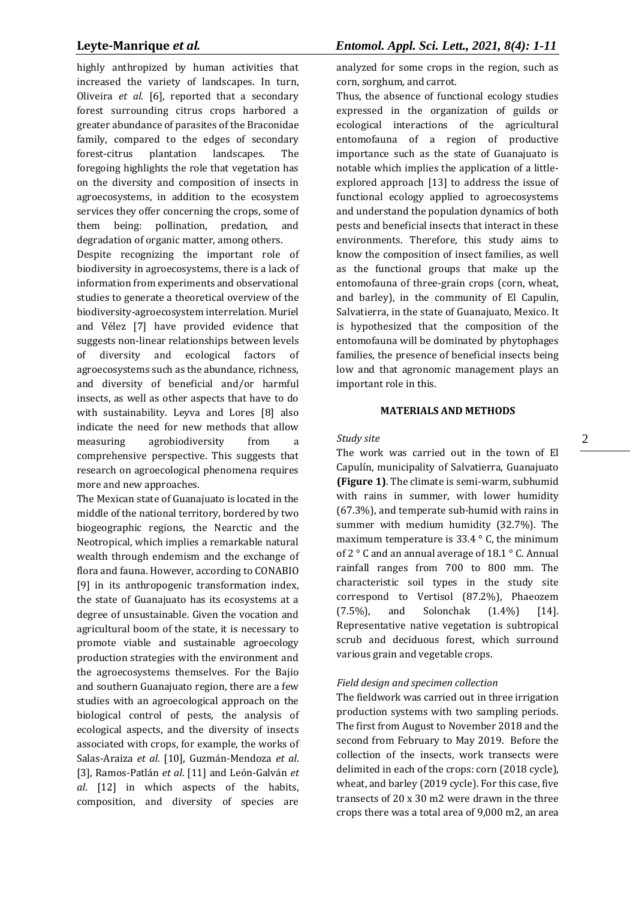highly anthropized by human activities that increased the variety of landscapes. In turn, Oliveira *et al*. [6], reported that a secondary forest surrounding citrus crops harbored a greater abundance of parasites of the Braconidae family, compared to the edges of secondary forest-citrus plantation landscapes. The foregoing highlights the role that vegetation has on the diversity and composition of insects in agroecosystems, in addition to the ecosystem services they offer concerning the crops, some of them being: pollination, predation, and degradation of organic matter, among others.

Despite recognizing the important role of biodiversity in agroecosystems, there is a lack of information from experiments and observational studies to generate a theoretical overview of the biodiversity-agroecosystem interrelation. Muriel and Vélez [7] have provided evidence that suggests non-linear relationships between levels of diversity and ecological factors of agroecosystems such as the abundance, richness, and diversity of beneficial and/or harmful insects, as well as other aspects that have to do with sustainability. Leyva and Lores [8] also indicate the need for new methods that allow measuring agrobiodiversity from a comprehensive perspective. This suggests that research on agroecological phenomena requires more and new approaches.

The Mexican state of Guanajuato is located in the middle of the national territory, bordered by two biogeographic regions, the Nearctic and the Neotropical, which implies a remarkable natural wealth through endemism and the exchange of flora and fauna. However, according to CONABIO [9] in its anthropogenic transformation index, the state of Guanajuato has its ecosystems at a degree of unsustainable. Given the vocation and agricultural boom of the state, it is necessary to promote viable and sustainable agroecology production strategies with the environment and the agroecosystems themselves. For the Bajio and southern Guanajuato region, there are a few studies with an agroecological approach on the biological control of pests, the analysis of ecological aspects, and the diversity of insects associated with crops, for example, the works of Salas-Araiza *et al*. [10], Guzmán-Mendoza *et al*. [3], Ramos-Patlán *et al*. [11] and León-Galván *et al*. [12] in which aspects of the habits, composition, and diversity of species are

analyzed for some crops in the region, such as corn, sorghum, and carrot.

Thus, the absence of functional ecology studies expressed in the organization of guilds or ecological interactions of the agricultural entomofauna of a region of productive importance such as the state of Guanajuato is notable which implies the application of a littleexplored approach [13] to address the issue of functional ecology applied to agroecosystems and understand the population dynamics of both pests and beneficial insects that interact in these environments. Therefore, this study aims to know the composition of insect families, as well as the functional groups that make up the entomofauna of three-grain crops (corn, wheat, and barley), in the community of El Capulin, Salvatierra, in the state of Guanajuato, Mexico. It is hypothesized that the composition of the entomofauna will be dominated by phytophages families, the presence of beneficial insects being low and that agronomic management plays an important role in this.

# **MATERIALS AND METHODS**

# *Study site*

The work was carried out in the town of El Capulín, municipality of Salvatierra, Guanajuato **(Figure 1)**. The climate is semi-warm, subhumid with rains in summer, with lower humidity (67.3%), and temperate sub-humid with rains in summer with medium humidity (32.7%). The maximum temperature is  $33.4 \degree$  C, the minimum of 2 ° C and an annual average of 18.1 ° C. Annual rainfall ranges from 700 to 800 mm. The characteristic soil types in the study site correspond to Vertisol (87.2%), Phaeozem (7.5%), and Solonchak (1.4%) [14]. Representative native vegetation is subtropical scrub and deciduous forest, which surround various grain and vegetable crops.

# *Field design and specimen collection*

The fieldwork was carried out in three irrigation production systems with two sampling periods. The first from August to November 2018 and the second from February to May 2019. Before the collection of the insects, work transects were delimited in each of the crops: corn (2018 cycle), wheat, and barley (2019 cycle). For this case, five transects of 20 x 30 m2 were drawn in the three crops there was a total area of 9,000 m2, an area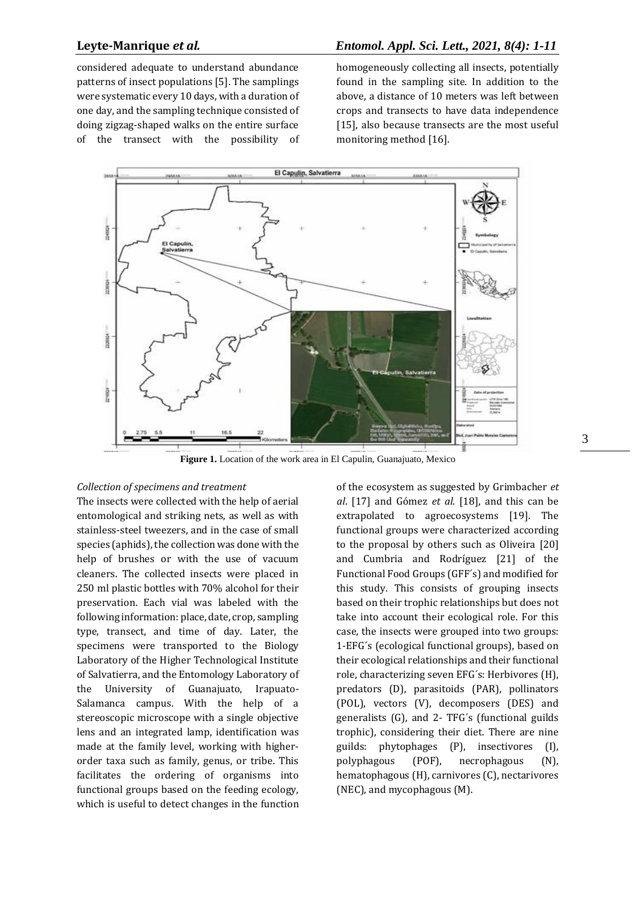# **Leyte-Manrique** *et al.**Entomol. Appl. Sci. Lett., 2021, 8(4): 1-11*

considered adequate to understand abundance patterns of insect populations [5]. The samplings were systematic every 10 days, with a duration of one day, and the sampling technique consisted of doing zigzag-shaped walks on the entire surface of the transect with the possibility of homogeneously collecting all insects, potentially found in the sampling site. In addition to the above, a distance of 10 meters was left between crops and transects to have data independence [15], also because transects are the most useful monitoring method [16].



**Figure 1.** Location of the work area in El Capulin, Guanajuato, Mexico

### *Collection of specimens and treatment*

The insects were collected with the help of aerial entomological and striking nets, as well as with stainless-steel tweezers, and in the case of small species (aphids), the collection was done with the help of brushes or with the use of vacuum cleaners. The collected insects were placed in 250 ml plastic bottles with 70% alcohol for their preservation. Each vial was labeled with the following information: place, date, crop, sampling type, transect, and time of day. Later, the specimens were transported to the Biology Laboratory of the Higher Technological Institute of Salvatierra, and the Entomology Laboratory of the University of Guanajuato, Irapuato-Salamanca campus. With the help of a stereoscopic microscope with a single objective lens and an integrated lamp, identification was made at the family level, working with higherorder taxa such as family, genus, or tribe. This facilitates the ordering of organisms into functional groups based on the feeding ecology, which is useful to detect changes in the function

of the ecosystem as suggested by Grimbacher *et al*. [17] and Gómez *et al*. [18], and this can be extrapolated to agroecosystems [19]. The functional groups were characterized according to the proposal by others such as Oliveira [20] and Cumbria and Rodríguez [21] of the Functional Food Groups (GFF´s) and modified for this study. This consists of grouping insects based on their trophic relationships but does not take into account their ecological role. For this case, the insects were grouped into two groups: 1-EFG´s (ecological functional groups), based on their ecological relationships and their functional role, characterizing seven EFG´s: Herbivores (H), predators (D), parasitoids (PAR), pollinators (POL), vectors (V), decomposers (DES) and generalists (G), and 2- TFG´s (functional guilds trophic), considering their diet. There are nine guilds: phytophages (P), insectivores (I), polyphagous (POF), necrophagous (N), hematophagous (H), carnivores (C), nectarivores (NEC), and mycophagous (M).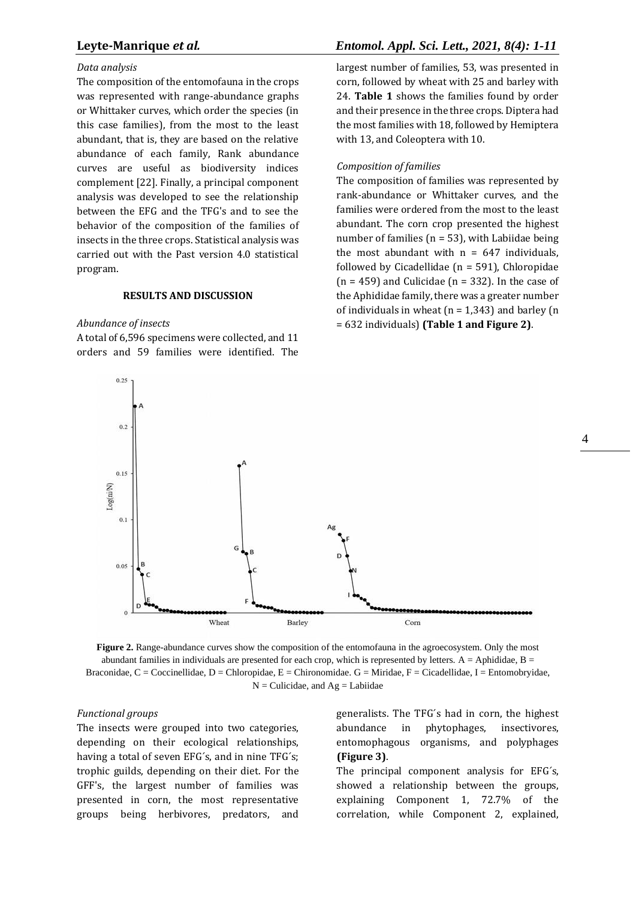# *Data analysis*

The composition of the entomofauna in the crops was represented with range-abundance graphs or Whittaker curves, which order the species (in this case families), from the most to the least abundant, that is, they are based on the relative abundance of each family, Rank abundance curves are useful as biodiversity indices complement [22]. Finally, a principal component analysis was developed to see the relationship between the EFG and the TFG's and to see the behavior of the composition of the families of insects in the three crops. Statistical analysis was carried out with the Past version 4.0 statistical program.

### **RESULTS AND DISCUSSION**

### *Abundance of insects*

A total of 6,596 specimens were collected, and 11 orders and 59 families were identified. The

# **Leyte-Manrique** *et al.**Entomol. Appl. Sci. Lett., 2021, 8(4): 1-11*

largest number of families, 53, was presented in corn, followed by wheat with 25 and barley with 24. **Table 1** shows the families found by order and their presence in the three crops. Diptera had the most families with 18, followed by Hemiptera with 13, and Coleoptera with 10.

### *Composition of families*

The composition of families was represented by rank-abundance or Whittaker curves, and the families were ordered from the most to the least abundant. The corn crop presented the highest number of families ( $n = 53$ ), with Labiidae being the most abundant with  $n = 647$  individuals, followed by Cicadellidae (n = 591), Chloropidae  $(n = 459)$  and Culicidae  $(n = 332)$ . In the case of the Aphididae family, there was a greater number of individuals in wheat  $(n = 1.343)$  and barley  $(n = 1.343)$ = 632 individuals) **(Table 1 and Figure 2)**.



Figure 2. Range-abundance curves show the composition of the entomofauna in the agroecosystem. Only the most abundant families in individuals are presented for each crop, which is represented by letters. A = Aphididae, B = Braconidae, C = Coccinellidae, D = Chloropidae, E = Chironomidae. G = Miridae, F = Cicadellidae, I = Entomobryidae,  $N =$ Culicidae, and  $Ag =$ Labiidae

# *Functional groups*

The insects were grouped into two categories, depending on their ecological relationships, having a total of seven EFG´s, and in nine TFG´s; trophic guilds, depending on their diet. For the GFF's, the largest number of families was presented in corn, the most representative groups being herbivores, predators, and

generalists. The TFG´s had in corn, the highest abundance in phytophages, insectivores, entomophagous organisms, and polyphages **(Figure 3)**.

The principal component analysis for EFG´s, showed a relationship between the groups, explaining Component 1, 72.7% of the correlation, while Component 2, explained,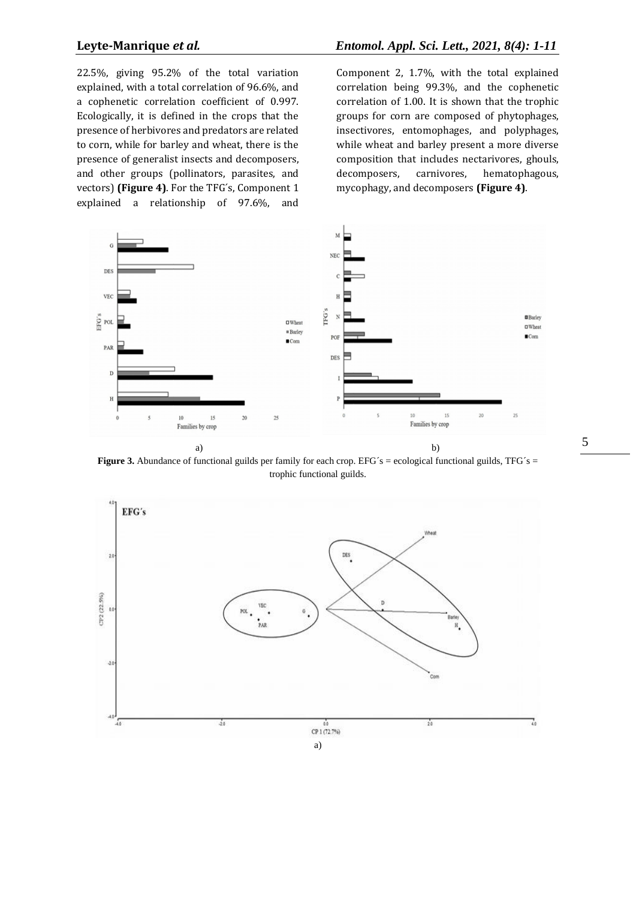22.5%, giving 95.2% of the total variation explained, with a total correlation of 96.6%, and a cophenetic correlation coefficient of 0.997. Ecologically, it is defined in the crops that the presence of herbivores and predators are related to corn, while for barley and wheat, there is the presence of generalist insects and decomposers, and other groups (pollinators, parasites, and vectors) **(Figure 4)**. For the TFG´s, Component 1 explained a relationship of 97.6%, and

# **Leyte-Manrique** *et al.**Entomol. Appl. Sci. Lett., 2021, 8(4): 1-11*

Component 2, 1.7%, with the total explained correlation being 99.3%, and the cophenetic correlation of 1.00. It is shown that the trophic groups for corn are composed of phytophages, insectivores, entomophages, and polyphages, while wheat and barley present a more diverse composition that includes nectarivores, ghouls, decomposers, carnivores, hematophagous, mycophagy, and decomposers **(Figure 4)**.



**Figure 3.** Abundance of functional guilds per family for each crop. EFG´s = ecological functional guilds, TFG´s = trophic functional guilds.

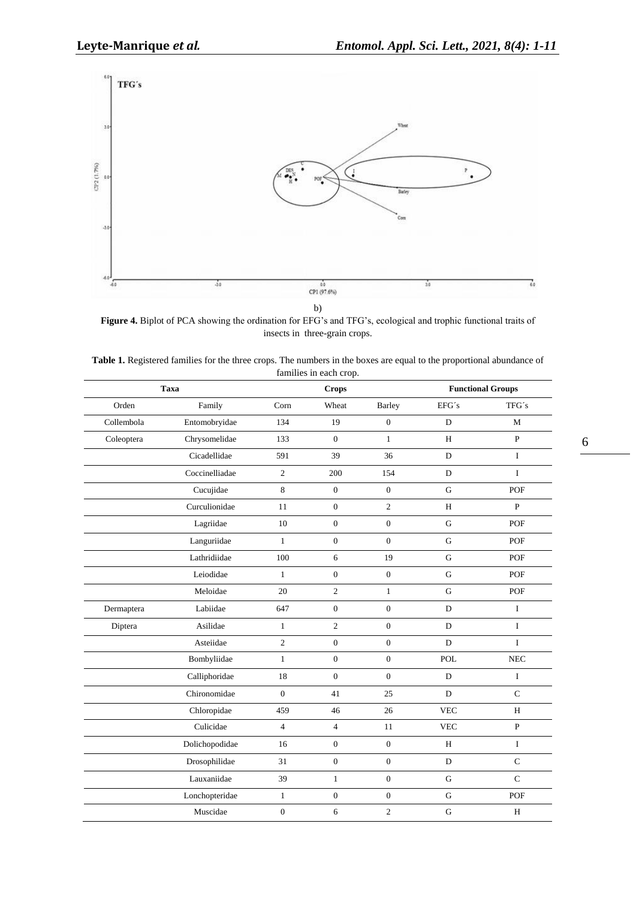

**Figure 4.** Biplot of PCA showing the ordination for EFG's and TFG's, ecological and trophic functional traits of insects in three-grain crops.

|             |                |                  | Tammes in each crop. |                          |              |              |  |
|-------------|----------------|------------------|----------------------|--------------------------|--------------|--------------|--|
| <b>Taxa</b> |                | <b>Crops</b>     |                      | <b>Functional Groups</b> |              |              |  |
| Orden       | Family         | Corn             | Wheat                | <b>Barley</b>            | EFG's        | TFG's        |  |
| Collembola  | Entomobryidae  | 134              | 19                   | $\mathbf{0}$             | D            | M            |  |
| Coleoptera  | Chrysomelidae  | 133              | $\overline{0}$       | $\mathbf{1}$             | H            | $\mathbf{P}$ |  |
|             | Cicadellidae   | 591              | 39                   | 36                       | $\mathbf{D}$ | $\mathbf I$  |  |
|             | Coccinelliadae | $\overline{c}$   | 200                  | 154                      | D            | $\mathbf I$  |  |
|             | Cucujidae      | 8                | $\boldsymbol{0}$     | $\mathbf{0}$             | ${\bf G}$    | POF          |  |
|             | Curculionidae  | 11               | $\overline{0}$       | 2                        | H            | $\mathbf{P}$ |  |
|             | Lagriidae      | $10\,$           | $\boldsymbol{0}$     | $\boldsymbol{0}$         | ${\bf G}$    | POF          |  |
|             | Languriidae    | $\mathbf{1}$     | $\boldsymbol{0}$     | $\theta$                 | G            | POF          |  |
|             | Lathridiidae   | 100              | $\sqrt{6}$           | 19                       | ${\bf G}$    | POF          |  |
|             | Leiodidae      | $\mathbf{1}$     | $\mathbf{0}$         | $\mathbf{0}$             | G            | POF          |  |
|             | Meloidae       | 20               | $\mathfrak{2}$       | $\mathbf{1}$             | G            | POF          |  |
| Dermaptera  | Labiidae       | 647              | $\mathbf{0}$         | $\mathbf{0}$             | D            | $\mathbf I$  |  |
| Diptera     | Asilidae       | $\mathbf{1}$     | $\sqrt{2}$           | $\mathbf{0}$             | $\mathbf{D}$ | $\bf I$      |  |
|             | Asteiidae      | $\overline{2}$   | $\boldsymbol{0}$     | $\mathbf{0}$             | $\mathbf{D}$ | $\mathbf I$  |  |
|             | Bombyliidae    | $\mathbf{1}$     | $\boldsymbol{0}$     | $\mathbf{0}$             | POL          | ${\rm NEC}$  |  |
|             | Calliphoridae  | 18               | $\boldsymbol{0}$     | $\mathbf{0}$             | D            | $\mathbf I$  |  |
|             | Chironomidae   | $\overline{0}$   | 41                   | 25                       | $\mathbf{D}$ | $\mathsf{C}$ |  |
|             | Chloropidae    | 459              | 46                   | 26                       | <b>VEC</b>   | $\rm H$      |  |
|             | Culicidae      | $\overline{4}$   | $\overline{4}$       | 11                       | <b>VEC</b>   | $\mathbf{P}$ |  |
|             | Dolichopodidae | 16               | $\boldsymbol{0}$     | $\mathbf{0}$             | $\rm H$      | $\bf I$      |  |
|             | Drosophilidae  | 31               | $\boldsymbol{0}$     | $\mathbf{0}$             | ${\rm D}$    | $\mathsf{C}$ |  |
|             | Lauxaniidae    | 39               | $\mathbf{1}$         | $\boldsymbol{0}$         | ${\bf G}$    | $\mathsf{C}$ |  |
|             | Lonchopteridae | $\mathbf{1}$     | $\boldsymbol{0}$     | $\mathbf{0}$             | ${\bf G}$    | POF          |  |
|             | Muscidae       | $\boldsymbol{0}$ | 6                    | $\overline{c}$           | $\mathbf G$  | H            |  |

| Table 1. Registered families for the three crops. The numbers in the boxes are equal to the proportional abundance of |
|-----------------------------------------------------------------------------------------------------------------------|
| families in each crop.                                                                                                |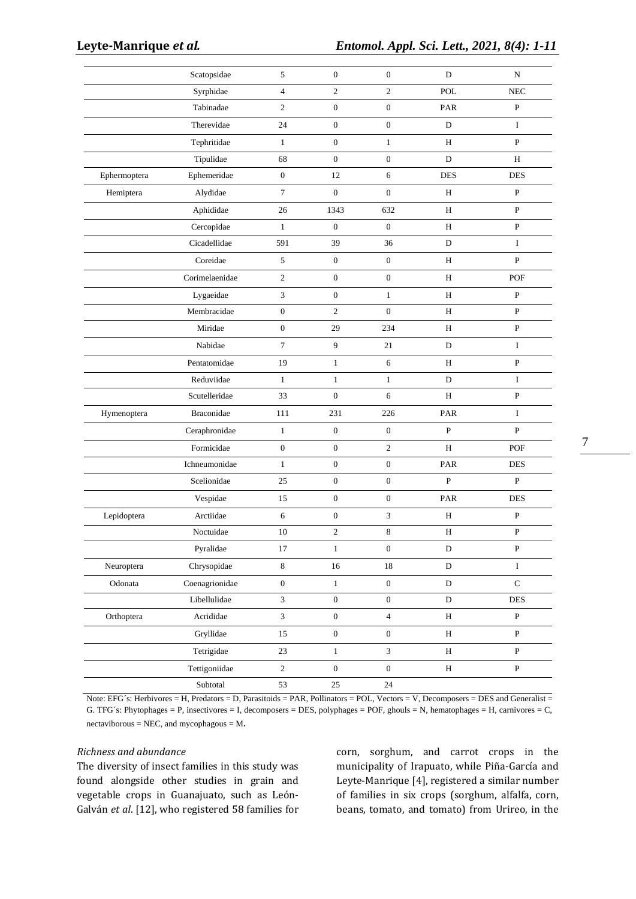|              | Scatopsidae       | 5                | $\mathbf{0}$     | $\mathbf{0}$     | D            | N            |
|--------------|-------------------|------------------|------------------|------------------|--------------|--------------|
|              | Syrphidae         | $\overline{4}$   | $\sqrt{2}$       | $\overline{2}$   | POL          | ${\rm NEC}$  |
|              | Tabinadae         | $\overline{c}$   | $\mathbf{0}$     | $\mathbf{0}$     | PAR          | $\mathbf{P}$ |
|              | Therevidae        | 24               | $\boldsymbol{0}$ | $\mathbf{0}$     | D            | $\mathbf I$  |
|              | Tephritidae       | $\mathbf{1}$     | $\mathbf{0}$     | $\mathbf{1}$     | H            | P            |
|              | Tipulidae         | 68               | $\boldsymbol{0}$ | $\mathbf{0}$     | D            | H            |
| Ephermoptera | Ephemeridae       | $\boldsymbol{0}$ | 12               | 6                | <b>DES</b>   | <b>DES</b>   |
| Hemiptera    | Alydidae          | $\tau$           | $\mathbf{0}$     | $\mathbf{0}$     | H            | P            |
|              | Aphididae         | 26               | 1343             | 632              | Η            | $\mathbf{P}$ |
|              | Cercopidae        | $\mathbf{1}$     | $\mathbf{0}$     | $\mathbf{0}$     | H            | $\, {\bf P}$ |
|              | Cicadellidae      | 591              | 39               | 36               | D            | $\mathbf I$  |
|              | Coreidae          | 5                | $\mathbf{0}$     | $\mathbf{0}$     | H            | $\mathbf{P}$ |
|              | Corimelaenidae    | $\sqrt{2}$       | $\boldsymbol{0}$ | $\boldsymbol{0}$ | $\, {\rm H}$ | POF          |
|              | Lygaeidae         | 3                | $\boldsymbol{0}$ | $\mathbf{1}$     | H            | P            |
|              | Membracidae       | $\mathbf{0}$     | 2                | $\mathbf{0}$     | Η            | P            |
|              | Miridae           | $\mathbf{0}$     | 29               | 234              | H            | $\, {\bf P}$ |
|              | Nabidae           | $\tau$           | $\boldsymbol{9}$ | 21               | D            | $\mathbf I$  |
|              | Pentatomidae      | 19               | $\mathbf{1}$     | 6                | H            | $\, {\bf P}$ |
|              | Reduviidae        | $\mathbf{1}$     | $\mathbf{1}$     | $\mathbf{1}$     | D            | $\mathbf I$  |
|              | Scutelleridae     | 33               | $\mathbf{0}$     | 6                | H            | $\mathbf{P}$ |
| Hymenoptera  | <b>Braconidae</b> | 111              | 231              | 226              | PAR          | I            |
|              | Ceraphronidae     | $\mathbf{1}$     | $\boldsymbol{0}$ | $\mathbf{0}$     | P            | $\mathbf{P}$ |
|              | Formicidae        | $\mathbf{0}$     | $\boldsymbol{0}$ | 2                | H            | POF          |
|              | Ichneumonidae     | $\mathbf{1}$     | $\boldsymbol{0}$ | $\mathbf{0}$     | PAR          | <b>DES</b>   |
|              | Scelionidae       | 25               | $\boldsymbol{0}$ | $\mathbf{0}$     | $\mathbf{P}$ | P            |
|              | Vespidae          | 15               | $\mathbf{0}$     | $\overline{0}$   | PAR          | <b>DES</b>   |
| Lepidoptera  | Arctiidae         | 6                | $\boldsymbol{0}$ | 3                | H            | $\mathbf{P}$ |
|              | Noctuidae         | 10               | $\sqrt{2}$       | $\,8\,$          | H            | $\, {\bf P}$ |
|              | Pyralidae         | 17               | $\,1\,$          | $\boldsymbol{0}$ | ${\bf D}$    | $\, {\bf P}$ |
| Neuroptera   | Chrysopidae       | $\,8\,$          | $16\,$           | $18\,$           | ${\bf D}$    | $\rm I$      |
| Odonata      | Coenagrionidae    | $\boldsymbol{0}$ | $\,1$            | $\boldsymbol{0}$ | ${\rm D}$    | $\mathbf C$  |
|              | Libellulidae      | $\mathfrak{Z}$   | $\boldsymbol{0}$ | $\boldsymbol{0}$ | ${\bf D}$    | DES          |
| Orthoptera   | Acrididae         | $\mathfrak{Z}$   | $\boldsymbol{0}$ | $\overline{4}$   | H            | ${\bf P}$    |
|              | Gryllidae         | $15\,$           | $\boldsymbol{0}$ | $\boldsymbol{0}$ | $\, {\rm H}$ | $\, {\bf P}$ |
|              | Tetrigidae        | 23               | $\,1\,$          | $\overline{3}$   | H            | $\, {\bf P}$ |
|              | Tettigoniidae     | $\sqrt{2}$       | $\boldsymbol{0}$ | $\boldsymbol{0}$ | $\, {\rm H}$ | $\, {\bf P}$ |
|              | Subtotal          | 53               | 25               | $24\,$           |              |              |

Note: EFG´s: Herbivores = H, Predators = D, Parasitoids = PAR, Pollinators = POL, Vectors = V, Decomposers = DES and Generalist = G. TFG´s: Phytophages = P, insectivores = I, decomposers = DES, polyphages = POF, ghouls = N, hematophages = H, carnivores = C, nectaviborous = NEC, and mycophagous = M.

# *Richness and abundance*

The diversity of insect families in this study was found alongside other studies in grain and vegetable crops in Guanajuato, such as León-Galván *et al*. [12], who registered 58 families for corn, sorghum, and carrot crops in the municipality of Irapuato, while Piña-García and Leyte-Manrique [4], registered a similar number of families in six crops (sorghum, alfalfa, corn, beans, tomato, and tomato) from Urireo, in the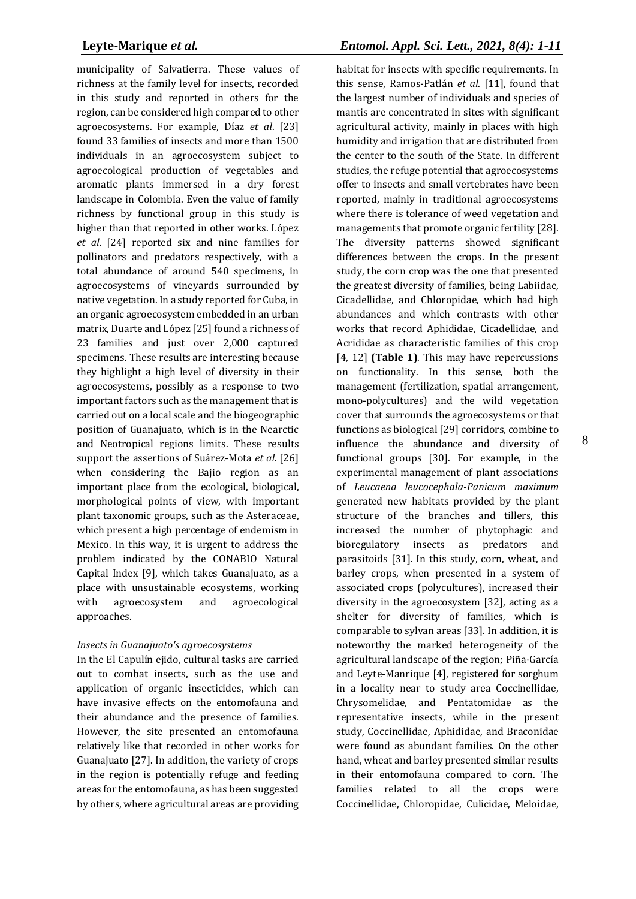municipality of Salvatierra. These values of richness at the family level for insects, recorded in this study and reported in others for the region, can be considered high compared to other agroecosystems. For example, Díaz *et al*. [23] found 33 families of insects and more than 1500 individuals in an agroecosystem subject to agroecological production of vegetables and aromatic plants immersed in a dry forest landscape in Colombia. Even the value of family richness by functional group in this study is higher than that reported in other works. López *et al*. [24] reported six and nine families for pollinators and predators respectively, with a total abundance of around 540 specimens, in agroecosystems of vineyards surrounded by native vegetation. In a study reported for Cuba, in an organic agroecosystem embedded in an urban matrix, Duarte and López [25] found a richness of 23 families and just over 2,000 captured specimens. These results are interesting because they highlight a high level of diversity in their agroecosystems, possibly as a response to two important factors such as the management that is carried out on a local scale and the biogeographic position of Guanajuato, which is in the Nearctic and Neotropical regions limits. These results support the assertions of Suárez-Mota *et al*. [26] when considering the Bajio region as an important place from the ecological, biological, morphological points of view, with important plant taxonomic groups, such as the Asteraceae, which present a high percentage of endemism in Mexico. In this way, it is urgent to address the problem indicated by the CONABIO Natural Capital Index [9], which takes Guanajuato, as a place with unsustainable ecosystems, working with agroecosystem and agroecological approaches.

# *Insects in Guanajuato's agroecosystems*

In the El Capulín ejido, cultural tasks are carried out to combat insects, such as the use and application of organic insecticides, which can have invasive effects on the entomofauna and their abundance and the presence of families. However, the site presented an entomofauna relatively like that recorded in other works for Guanajuato [27]. In addition, the variety of crops in the region is potentially refuge and feeding areas for the entomofauna, as has been suggested by others, where agricultural areas are providing

# **Leyte-Marique** *et al.**Entomol. Appl. Sci. Lett., 2021, 8(4): 1-11*

habitat for insects with specific requirements. In this sense, Ramos-Patlán *et al*. [11], found that the largest number of individuals and species of mantis are concentrated in sites with significant agricultural activity, mainly in places with high humidity and irrigation that are distributed from the center to the south of the State. In different studies, the refuge potential that agroecosystems offer to insects and small vertebrates have been reported, mainly in traditional agroecosystems where there is tolerance of weed vegetation and managements that promote organic fertility [28]. The diversity patterns showed significant differences between the crops. In the present study, the corn crop was the one that presented the greatest diversity of families, being Labiidae, Cicadellidae, and Chloropidae, which had high abundances and which contrasts with other works that record Aphididae, Cicadellidae, and Acrididae as characteristic families of this crop [4, 12] **(Table 1)**. This may have repercussions on functionality. In this sense, both the management (fertilization, spatial arrangement, mono-polycultures) and the wild vegetation cover that surrounds the agroecosystems or that functions as biological [29] corridors, combine to influence the abundance and diversity of functional groups [30]. For example, in the experimental management of plant associations of *Leucaena leucocephala*-*Panicum maximum* generated new habitats provided by the plant structure of the branches and tillers, this increased the number of phytophagic and bioregulatory insects as predators and parasitoids [31]. In this study, corn, wheat, and barley crops, when presented in a system of associated crops (polycultures), increased their diversity in the agroecosystem [32], acting as a shelter for diversity of families, which is comparable to sylvan areas [33]. In addition, it is noteworthy the marked heterogeneity of the agricultural landscape of the region; Piña-García and Leyte-Manrique [4], registered for sorghum in a locality near to study area Coccinellidae, Chrysomelidae, and Pentatomidae as the representative insects, while in the present study, Coccinellidae, Aphididae, and Braconidae were found as abundant families. On the other hand, wheat and barley presented similar results in their entomofauna compared to corn. The families related to all the crops were Coccinellidae, Chloropidae, Culicidae, Meloidae,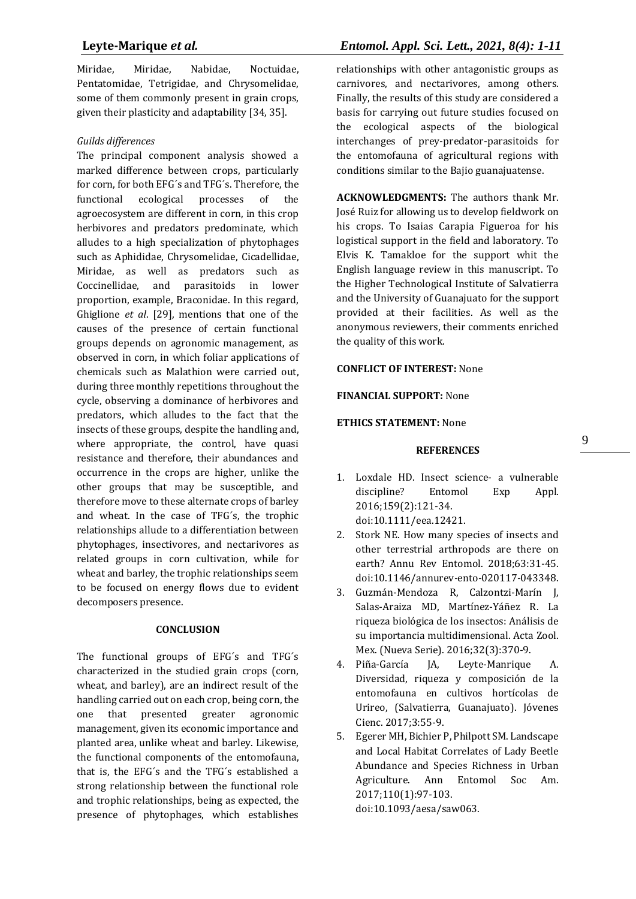Miridae, Miridae, Nabidae, Noctuidae, Pentatomidae, Tetrigidae, and Chrysomelidae, some of them commonly present in grain crops, given their plasticity and adaptability [34, 35].

# *Guilds differences*

The principal component analysis showed a marked difference between crops, particularly for corn, for both EFG´s and TFG´s. Therefore, the functional ecological processes of the agroecosystem are different in corn, in this crop herbivores and predators predominate, which alludes to a high specialization of phytophages such as Aphididae, Chrysomelidae, Cicadellidae, Miridae, as well as predators such as Coccinellidae, and parasitoids in lower proportion, example, Braconidae. In this regard, Ghiglione *et al*. [29], mentions that one of the causes of the presence of certain functional groups depends on agronomic management, as observed in corn, in which foliar applications of chemicals such as Malathion were carried out, during three monthly repetitions throughout the cycle, observing a dominance of herbivores and predators, which alludes to the fact that the insects of these groups, despite the handling and, where appropriate, the control, have quasi resistance and therefore, their abundances and occurrence in the crops are higher, unlike the other groups that may be susceptible, and therefore move to these alternate crops of barley and wheat. In the case of TFG´s, the trophic relationships allude to a differentiation between phytophages, insectivores, and nectarivores as related groups in corn cultivation, while for wheat and barley, the trophic relationships seem to be focused on energy flows due to evident decomposers presence.

### **CONCLUSION**

The functional groups of EFG´s and TFG´s characterized in the studied grain crops (corn, wheat, and barley), are an indirect result of the handling carried out on each crop, being corn, the one that presented greater agronomic management, given its economic importance and planted area, unlike wheat and barley. Likewise, the functional components of the entomofauna, that is, the EFG´s and the TFG´s established a strong relationship between the functional role and trophic relationships, being as expected, the presence of phytophages, which establishes

# **Leyte-Marique** *et al.**Entomol. Appl. Sci. Lett., 2021, 8(4): 1-11*

relationships with other antagonistic groups as carnivores, and nectarivores, among others. Finally, the results of this study are considered a basis for carrying out future studies focused on the ecological aspects of the biological interchanges of prey-predator-parasitoids for the entomofauna of agricultural regions with conditions similar to the Bajio guanajuatense.

**ACKNOWLEDGMENTS:** The authors thank Mr. José Ruiz for allowing us to develop fieldwork on his crops. To Isaias Carapia Figueroa for his logistical support in the field and laboratory. To Elvis K. Tamakloe for the support whit the English language review in this manuscript. To the Higher Technological Institute of Salvatierra and the University of Guanajuato for the support provided at their facilities. As well as the anonymous reviewers, their comments enriched the quality of this work.

# **CONFLICT OF INTEREST:** None

# **FINANCIAL SUPPORT:** None

### **ETHICS STATEMENT:** None

### **REFERENCES**

- 1. Loxdale HD. Insect science- a vulnerable discipline? Entomol Exp Appl. 2016;159(2):121-34. doi:10.1111/eea.12421.
- 2. Stork NE. How many species of insects and other terrestrial arthropods are there on earth? Annu Rev Entomol. 2018;63:31-45. doi:10.1146/annurev-ento-020117-043348.
- 3. Guzmán-Mendoza R, Calzontzi-Marín J, Salas-Araiza MD, Martínez-Yáñez R. La riqueza biológica de los insectos: Análisis de su importancia multidimensional. Acta Zool. Mex. (Nueva Serie). 2016;32(3):370-9.
- 4. Piña-García JA, Leyte-Manrique A. Diversidad, riqueza y composición de la entomofauna en cultivos hortícolas de Urireo, (Salvatierra, Guanajuato). Jóvenes Cienc. 2017;3:55-9.
- 5. Egerer MH, Bichier P, Philpott SM. Landscape and Local Habitat Correlates of Lady Beetle Abundance and Species Richness in Urban Agriculture. Ann Entomol Soc Am. 2017;110(1):97-103. doi:10.1093/aesa/saw063.

9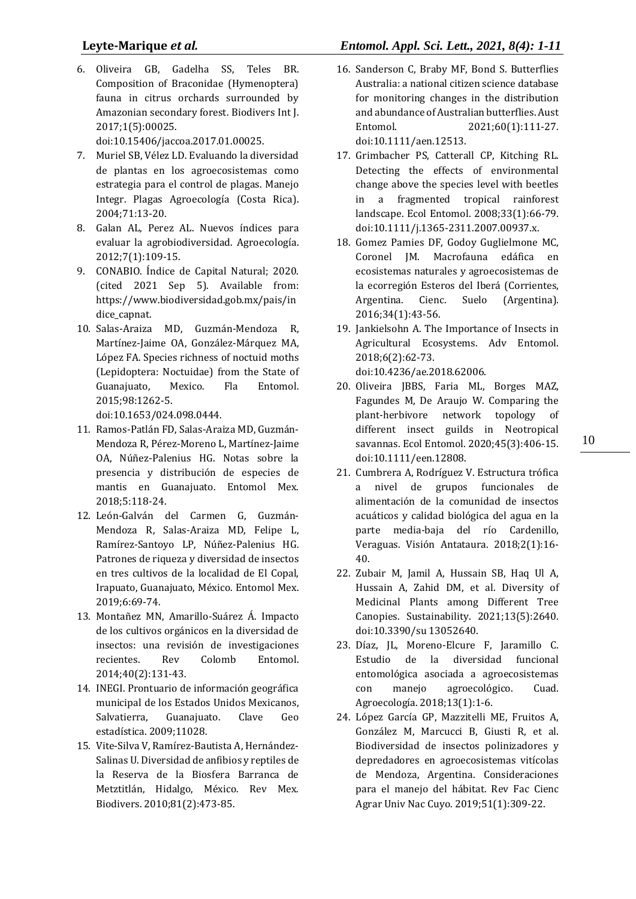6. Oliveira GB, Gadelha SS, Teles BR. Composition of Braconidae (Hymenoptera) fauna in citrus orchards surrounded by Amazonian secondary forest. Biodivers Int J. 2017;1(5):00025.

doi:10.15406/jaccoa.2017.01.00025.

- 7. Muriel SB, Vélez LD. Evaluando la diversidad de plantas en los agroecosistemas como estrategia para el control de plagas. Manejo Integr. Plagas Agroecología (Costa Rica). 2004;71:13-20.
- 8. Galan AL, Perez AL. Nuevos índices para evaluar la agrobiodiversidad. Agroecología. 2012;7(1):109-15.
- 9. CONABIO. Índice de Capital Natural; 2020. (cited 2021 Sep 5). Available from: https://www.biodiversidad.gob.mx/pais/in dice capnat.
- 10. Salas-Araiza MD, Guzmán-Mendoza R, Martínez-Jaime OA, González-Márquez MA, López FA. Species richness of noctuid moths (Lepidoptera: Noctuidae) from the State of Guanajuato, Mexico. Fla Entomol. 2015;98:1262-5.

doi:10.1653/024.098.0444.

- 11. Ramos-Patlán FD, Salas-Araiza MD, Guzmán-Mendoza R, Pérez-Moreno L, Martínez-Jaime OA, Núñez-Palenius HG. Notas sobre la presencia y distribución de especies de mantis en Guanajuato. Entomol Mex. 2018;5:118-24.
- 12. León-Galván del Carmen G, Guzmán-Mendoza R, Salas-Araiza MD, Felipe L, Ramírez-Santoyo LP, Núñez-Palenius HG. Patrones de riqueza y diversidad de insectos en tres cultivos de la localidad de El Copal, Irapuato, Guanajuato, México. Entomol Mex. 2019;6:69-74.
- 13. Montañez MN, Amarillo-Suárez Á. Impacto de los cultivos orgánicos en la diversidad de insectos: una revisión de investigaciones recientes. Rev Colomb Entomol. 2014;40(2):131-43.
- 14. INEGI. Prontuario de información geográfica municipal de los Estados Unidos Mexicanos, Salvatierra, Guanajuato. Clave Geo estadística. 2009;11028.
- 15. Vite-Silva V, Ramírez-Bautista A, Hernández-Salinas U. Diversidad de anfibios y reptiles de la Reserva de la Biosfera Barranca de Metztitlán, Hidalgo, México. Rev Mex. Biodivers. 2010;81(2):473-85.
- 16. Sanderson C, Braby MF, Bond S. Butterflies Australia: a national citizen science database for monitoring changes in the distribution and abundance of Australian butterflies. Aust Entomol. 2021;60(1):111-27. doi:10.1111/aen.12513.
- 17. Grimbacher PS, Catterall CP, Kitching RL. Detecting the effects of environmental change above the species level with beetles in a fragmented tropical rainforest landscape. Ecol Entomol. 2008;33(1):66-79. doi:10.1111/j.1365-2311.2007.00937.x.
- 18. Gomez Pamies DF, Godoy Guglielmone MC, Coronel JM. Macrofauna edáfica en ecosistemas naturales y agroecosistemas de la ecorregión Esteros del Iberá (Corrientes, Argentina. Cienc. Suelo (Argentina). 2016;34(1):43-56.
- 19. Jankielsohn A. The Importance of Insects in Agricultural Ecosystems. Adv Entomol. 2018;6(2):62-73. doi:10.4236/ae.2018.62006.
- 20. Oliveira JBBS, Faria ML, Borges MAZ, Fagundes M, De Araujo W. Comparing the plant-herbivore network topology of different insect guilds in Neotropical savannas. Ecol Entomol. 2020;45(3):406-15. doi:10.1111/een.12808.
- 21. Cumbrera A, Rodríguez V. Estructura trófica a nivel de grupos funcionales de alimentación de la comunidad de insectos acuáticos y calidad biológica del agua en la parte media-baja del río Cardenillo, Veraguas. Visión Antataura. 2018;2(1):16- 40.
- 22. Zubair M, Jamil A, Hussain SB, Haq Ul A, Hussain A, Zahid DM, et al. Diversity of Medicinal Plants among Different Tree Canopies. Sustainability. 2021;13(5):2640. doi:10.3390/su 13052640.
- 23. Díaz, JL, Moreno-Elcure F, Jaramillo C. Estudio de la diversidad funcional entomológica asociada a agroecosistemas con manejo agroecológico. Cuad. Agroecología. 2018;13(1):1-6.
- 24. López García GP, Mazzitelli ME, Fruitos A, González M, Marcucci B, Giusti R, et al. Biodiversidad de insectos polinizadores y depredadores en agroecosistemas vitícolas de Mendoza, Argentina. Consideraciones para el manejo del hábitat. Rev Fac Cienc Agrar Univ Nac Cuyo. 2019;51(1):309-22.